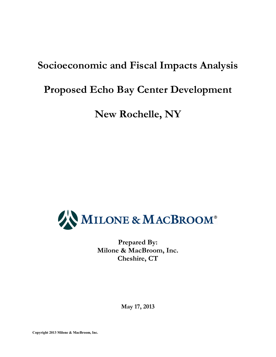# **Socioeconomic and Fiscal Impacts Analysis**

# **Proposed Echo Bay Center Development**

**New Rochelle, NY** 



**Prepared By: Milone & MacBroom, Inc. Cheshire, CT** 

**May 17, 2013**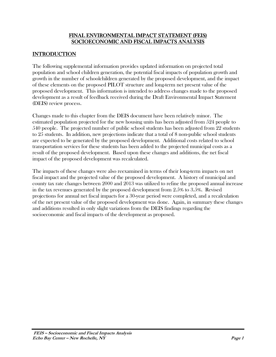#### FINAL ENVIRONMENTAL IMPACT STATEMENT (FEIS) SOCIOECONOMIC AND FISCAL IMPACTS ANALYSIS

# **INTRODUCTION**

The following supplemental information provides updated information on projected total population and school children generation, the potential fiscal impacts of population growth and growth in the number of schoolchildren generated by the proposed development, and the impact of these elements on the proposed PILOT structure and long-term net present value of the proposed development. This information is intended to address changes made to the proposed development as a result of feedback received during the Draft Environmental Impact Statement (DEIS) review process.

Changes made to this chapter from the DEIS document have been relatively minor. The estimated population projected for the new housing units has been adjusted from 524 people to 540 people. The projected number of public school students has been adjusted from 22 students to 25 students. In addition, new projections indicate that a total of 8 non-public school students are expected to be generated by the proposed development. Additional costs related to school transportation services for these students has been added to the projected municipal costs as a result of the proposed development. Based upon these changes and additions, the net fiscal impact of the proposed development was recalculated.

The impacts of these changes were also reexamined in terms of their long-term impacts on net fiscal impact and the projected value of the proposed development. A history of municipal and county tax rate changes between 2000 and 2013 was utilized to refine the proposed annual increase in the tax revenues generated by the proposed development from 2.5% to 3.5%. Revised projections for annual net fiscal impacts for a 30-year period were completed, and a recalculation of the net present value of the proposed development was done. Again, in summary these changes and additions resulted in only slight variations from the DEIS findings regarding the socioeconomic and fiscal impacts of the development as proposed.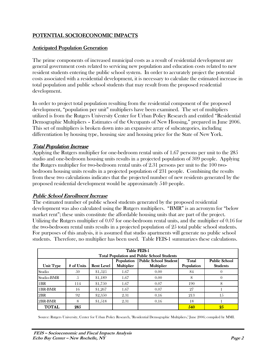## POTENTIAL SOCIOECONOMIC IMPACTS

#### Anticipated Population Generation Generation

The prime components of increased municipal costs as a result of residential development are general government costs related to servicing new population and education costs related to new resident students entering the public school system. In order to accurately project the potential costs associated with a residential development, it is necessary to calculate the estimated increase in total population and public school students that may result from the proposed residential development.

In order to project total population resulting from the residential component of the proposed development, "population per unit" multipliers have been examined. The set of multipliers utilized is from the Rutgers University Center for Urban Policy Research and entitled "Residential Demographic Multipliers – Estimates of the Occupants of New Housing," prepared in June 2006. This set of multipliers is broken down into an expansive array of subcategories, including differentiation by housing type, housing size and housing price for the State of New York.

#### Total Population Increase

Applying the Rutgers multiplier for one-bedroom rental units of 1.67 persons per unit to the 285 studio and one-bedroom housing units results in a projected population of 309 people. Applying the Rutgers multiplier for two-bedroom rental units of 2.31 persons per unit to the 100 twobedroom housing units results in a projected population of 231 people. Combining the results from these two calculations indicates that the projected number of new residents generated by the proposed residential development would be approximately 540 people.

#### Public School Enrollment Increase

The estimated number of public school students generated by the proposed residential development was also calculated using the Rutgers multipliers. "BMR" is an acronym for "below market rent"; these units constitute the affordable housing units that are part of the project. Utilizing the Rutgers multiplier of 0.07 for one-bedroom rental units, and the multiplier of 0.16 for the two-bedroom rental units results in a projected population of 25 total public school students. For purposes of this analysis, it is assumed that studio apartments will generate no public school students. Therefore, no multiplier has been used. Table FEIS-1 summarizes these calculations.

| Table FEIS-1<br><b>Total Population and Public School Students</b>                                                                                                                              |     |         |      |      |     |    |  |  |  |
|-------------------------------------------------------------------------------------------------------------------------------------------------------------------------------------------------|-----|---------|------|------|-----|----|--|--|--|
| Public School Student<br><b>Public School</b><br>Population<br>Total<br>Multiplier<br># of Units<br><b>Multiplier</b><br>Population<br><b>Students</b><br><b>Unit Type</b><br><b>Rent Level</b> |     |         |      |      |     |    |  |  |  |
| Studio                                                                                                                                                                                          | 50  | \$1,525 | 1.67 | 0.00 | 84  |    |  |  |  |
| Studio-BMR                                                                                                                                                                                      | Ċ,  | \$1,189 | 1.67 | 0.00 | 8   |    |  |  |  |
| 1 <sub>BR</sub>                                                                                                                                                                                 | 114 | \$1.750 | 1.67 | 0.07 | 190 | 8  |  |  |  |
| 1BR-BMR                                                                                                                                                                                         | 16  | \$1,267 | 1.67 | 0.07 | 27  |    |  |  |  |
| 2BR                                                                                                                                                                                             | 92  | \$2,350 | 2.31 | 0.16 | 213 | 15 |  |  |  |
| 2BR-BMR                                                                                                                                                                                         | 8   | \$1,518 | 2.31 | 0.16 | 18  |    |  |  |  |
| <b>TOTAL</b>                                                                                                                                                                                    | 285 |         |      |      | 540 | 25 |  |  |  |

Source: Rutgers University, Center for Urban Policy Research, "Residential Demographic Multipliers," June 2006; compiled by MMI.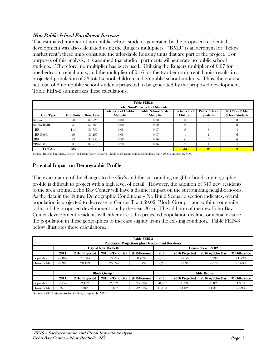#### Non-Public School Enrollment Increase

The estimated number of non-public school students generated by the proposed residential development was also calculated using the Rutgers multipliers. "BMR" is an acronym for "below market rent"; these units constitute the affordable housing units that are part of the project. For purposes of this analysis, it is assumed that studio apartments will generate no public school students. Therefore, no multiplier has been used. Utilizing the Rutgers multiplier of 0.07 for one-bedroom rental units, and the multiplier of 0.16 for the two-bedroom rental units results in a projected population of 33 total school children and 25 public school students. Thus, there are a net total of 8 non-public school students projected to be generated by the proposed development. Table FEIS-2 summarizes these calculations.

| <b>Table FEIS-2</b><br><b>Total Non-Public School Students</b> |                                                                                                                                                                                                                                                                     |         |                   |      |    |     |   |  |  |  |
|----------------------------------------------------------------|---------------------------------------------------------------------------------------------------------------------------------------------------------------------------------------------------------------------------------------------------------------------|---------|-------------------|------|----|-----|---|--|--|--|
| <b>Unit Type</b>                                               | <b>Public School</b><br><b>Public School Student</b><br><b>Total School</b><br><b>Net Non-Public</b><br><b>Total School Children</b><br>Multiplier<br>Multiplier<br><b>Children</b><br><b>School Students</b><br><b>Students</b><br># of Units<br><b>Rent Level</b> |         |                   |      |    |     |   |  |  |  |
| Studio                                                         | .50                                                                                                                                                                                                                                                                 | \$1.525 | 0.00              | 0.00 |    |     |   |  |  |  |
| Studio-BMR                                                     | Ô.                                                                                                                                                                                                                                                                  | \$1.189 | 0.00 <sub>1</sub> | 0.00 |    |     |   |  |  |  |
| 1BR                                                            | 114                                                                                                                                                                                                                                                                 | \$1.750 | 0.08              | 0.07 |    | 8   |   |  |  |  |
| 1BR-BMR                                                        | 16                                                                                                                                                                                                                                                                  | \$1,267 | 0.08              | 0.07 |    |     | 0 |  |  |  |
| 12BR                                                           | 92                                                                                                                                                                                                                                                                  | \$2,350 | 0.23              | 0.16 | 21 | 1.5 |   |  |  |  |
| 2BR-BMR                                                        | 0.16<br>0.23<br>\$1.518<br>8                                                                                                                                                                                                                                        |         |                   |      |    |     |   |  |  |  |
| <b>TOTAL</b>                                                   | 285                                                                                                                                                                                                                                                                 |         |                   |      | 33 | 25  | 8 |  |  |  |

Source: Rutgers University, Center for Urban Policy Research, "Residential Demographic Multipliers," June 2006; compiled by MMI.

#### Potential Impact on Demographic Profile

The exact nature of the changes to the City's and the surrounding neighborhood's demographic profile is difficult to project with a high level of detail. However, the addition of 540 new residents to the area around Echo Bay Center will have a distinct impact on the surrounding neighborhoods. As the data in the Future Demographic Conditions – No Build Scenario section indicates, overall population is projected to decrease in Census Tract 59.02, Block Group 1 and within a one mile radius of the proposed development site by the year 2016. The addition of the new Echo Bay Center development residents will either arrest this projected population decline, or actually cause the population in these geographies to increase slightly from the existing condition. Table FEIS-3 below illustrates these calculations.

|            | <b>Table FEIS-3</b><br><b>Population Projections plus Development Residents</b>                                        |                |                             |              |        |                |                    |              |  |  |
|------------|------------------------------------------------------------------------------------------------------------------------|----------------|-----------------------------|--------------|--------|----------------|--------------------|--------------|--|--|
|            |                                                                                                                        |                | <b>City of New Rochelle</b> |              |        |                | Census Tract 59.02 |              |  |  |
|            | 2011                                                                                                                   | 2016 Projected | 2016 w/Echo Bay             | % Difference | 2011   | 2016 Projected | 2016 w/Echo Bay    | % Difference |  |  |
| Population | 77,062                                                                                                                 | 77.684         | 78.224                      | 0.70%        | 5.139  | 4.658          | 5.198              | 11.59%       |  |  |
| Households | 27,908                                                                                                                 | 28,109         | 28,394                      | 1.01%        | 2,299  | 2,091          | 2,376              | 13.63%       |  |  |
|            |                                                                                                                        |                |                             |              |        |                |                    |              |  |  |
|            |                                                                                                                        |                | <b>Block Group 1</b>        |              |        |                | 1 Mile Radius      |              |  |  |
|            | 2016 Projected<br>% Difference<br>2016 Projected<br>2011<br>2011<br>% Difference<br>2016 w/Echo Bay<br>2016 w/Echo Bay |                |                             |              |        |                |                    |              |  |  |
| Population | 2.354                                                                                                                  | 2.132          | 2.672                       | 25.33%       | 28.457 | 28.286         | 28.826             | 1.91%        |  |  |
| Households | 970                                                                                                                    | 882            | 1.167                       | 32.31%       | 11,108 | 11,025         | 11,310             | 2.59%        |  |  |

Source: ESRI Business Analyst Online; compiled by MMI.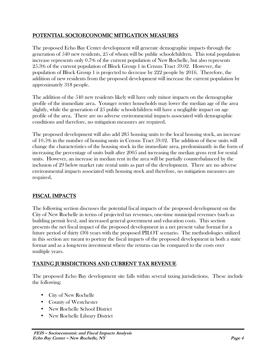## POTENTIAL SOCIOECONOMIC MITIGATION MEASURES

The proposed Echo Bay Center development will generate demographic impacts through the generation of 540 new residents, 25 of whom will be public schoolchildren. This total population increase represents only 0.7% of the current population of New Rochelle, but also represents 25.3% of the current population of Block Group 1 in Census Tract 59.02. However, the population of Block Group 1 is projected to decrease by 222 people by 2016. Therefore, the addition of new residents from the proposed development will increase the current population by approximately 318 people.

The addition of the 540 new residents likely will have only minor impacts on the demographic profile of the immediate area. Younger renter households may lower the median age of the area slightly, while the generation of 25 public schoolchildren will have a negligible impact on age profile of the area. There are no adverse environmental impacts associated with demographic conditions and therefore, no mitigation measures are required.

The proposed development will also add 285 housing units to the local housing stock, an increase of 10.5% in the number of housing units in Census Tract 59.02. The addition of these units will change the characteristics of the housing stock in the immediate area, predominantly in the form of increasing the percentage of units built after 2005 and increasing the median gross rent for rental units. However, an increase in median rent in the area will be partially counterbalanced by the inclusion of 29 below market rate rental units as part of the development. There are no adverse environmental impacts associated with housing stock and therefore, no mitigation measures are required.

## FISCAL IMPACTS

The following section discusses the potential fiscal impacts of the proposed development on the City of New Rochelle in terms of projected tax revenues, one-time municipal revenues (such as building permit fees), and increased general government and education costs. This section presents the net fiscal impact of the proposed development in a net present value format for a future period of thirty (30) years with the proposed PILOT scenario. The methodologies utilized in this section are meant to portray the fiscal impacts of the proposed development in both a static format and as a long-term investment where the returns can be compared to the costs over multiple years.

# TAXING JURISDICTIONS AND CURRENT TAX REVENUE JURISDICTIONS AND CURRENT TAX REVENUE

The proposed Echo Bay development site falls within several taxing jurisdictions. These include the following:

- City of New Rochelle
- County of Westchester
- New Rochelle School District
- New Rochelle Library District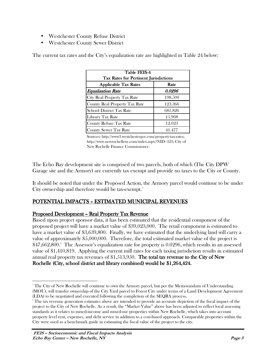- Westchester County Refuse District
- Westchester County Sewer District

| Table FEIS-4<br>Tax Rates for Pertinent Jurisdictions |         |  |  |  |
|-------------------------------------------------------|---------|--|--|--|
| <b>Applicable Tax Rates</b>                           | Rate    |  |  |  |
| <b>Equalization Rate</b>                              | 0.0296  |  |  |  |
| City Real Property Tax Rate                           | 198.500 |  |  |  |
| <b>County Real Property Tax Rate</b>                  | 123.366 |  |  |  |
| <b>School District Tax Rate</b>                       | 681.826 |  |  |  |
| Library Tax Rate                                      | 15.908  |  |  |  |
| <b>County Refuse Tax Rate</b>                         | 12.023  |  |  |  |
| <b>County Sewer Tax Rate</b>                          | 41.477  |  |  |  |

The current tax rates and the City's equalization rate are highlighted in Table 24 below:

Sources: http://www3.westchestergov.com/property-tax-rates; http://www.newrochelleny.com/index.aspx?NID=323; City of New Rochelle Finance Commissioner.

The Echo Bay development site is comprised of two parcels, both of which (The City DPW Garage site and the Armory) are currently tax exempt and provide no taxes to the City or County.

It should be noted that under the Proposed Action, the Armory parcel would continue to be under City ownership and therefore would be tax-exempt.<sup>1</sup>

## POTENTIAL IMPACTS - ESTIMATED MUNICIPAL REVENUES

#### Proposed Development – Real Property Tax Revenue

Based upon project sponsor data, it has been estimated that the residential component of the proposed project will have a market value of \$39,023,000. The retail component is estimated to have a market value of \$3,639,800. Finally, we have estimated that the underlying land will carry a value of approximately \$5,000,000. Therefore, the total estimated market value of the project is \$47,662,800.<sup>2</sup> The Assessor's equalization rate for property is 0.0296, which results in an assessed value of \$1,410,819. Applying the current mill rates for each taxing jurisdiction results in estimated annual real property tax revenues of  $$1,513,950$ . The total tax revenue to the City of New Rochelle (City, school district and library combined) would be  $$1,264,424$ .

<u>.</u>

<sup>1</sup> The City of New Rochelle will continue to own the Armory parcel, but per the Memorandum of Understanding (MOU), will transfer ownership of the City Yard parcel to Forest City under terms of a Land Development Agreement (LDA) to be negotiated and executed following the completion of the SEQRA process.

<sup>2</sup> The tax revenue generation estimates above are intended to provide an accurate depiction of the fiscal impact of the project to the City of New Rochelle. As a result, the "Market Value" above has been adjusted to reflect local assessing standards as it relates to mixed-income and mixed-use properties within New Rochelle, which takes into account property level rent, expenses, and debt service in addition to a cost-based approach. Comparable properties within the City were used as a benchmark guide in estimating the fiscal value of the project to the city.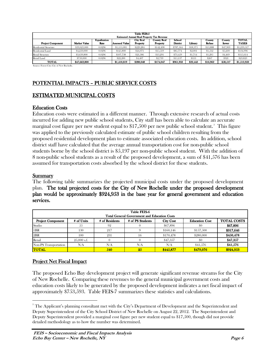|                                                                                 | <b>Table FEIS-5</b> |              |                        |                  |                                                   |                 |          |          |              |              |
|---------------------------------------------------------------------------------|---------------------|--------------|------------------------|------------------|---------------------------------------------------|-----------------|----------|----------|--------------|--------------|
|                                                                                 |                     |              |                        |                  | <b>Estimated Annual Real Property Tax Revenue</b> |                 |          |          |              |              |
|                                                                                 |                     | Equalization |                        | <b>City Real</b> | <b>County Real</b>                                | School          |          | County   | County       | <b>TOTAL</b> |
| <b>Project Component</b>                                                        | <b>Market Value</b> | Rate         | <b>Assessed Valuel</b> | <b>Property</b>  | Property                                          | <b>District</b> | Library  | Refuse   | <b>Sewer</b> | <b>TAXES</b> |
| <b>Residential Structure</b>                                                    | \$39,023,000        | 0.0296       | \$1,155,081            | \$229.284        | \$142,498                                         | \$787,564       | \$18,375 | \$13,888 | \$47,909     | \$1,239,517  |
| Residential Land                                                                | \$4,250,000         | 0.0296       | \$125,800              | \$24.971         | \$15,519                                          | \$85,774        | \$2,001  | \$1.512  | \$5,218      | \$134,996    |
| <b>Retail Structure</b>                                                         | \$3,639,800         | 0.0296       | \$107.738              | \$21,386         | \$13,291                                          | \$73,459        | \$1,714  | \$1,295  | \$4,469      | \$115,614    |
| Retail Land                                                                     | \$750,000           | 0.0296       | \$22,200               | \$4,407          | \$2,739                                           | \$15,137        | \$353    | \$267    | \$921        | \$23,823     |
| <b>TOTAL</b>                                                                    | \$47.662.800        |              | \$1,410,819            | \$280,048        | \$174,047                                         | \$961,933       | \$22,443 | \$16,962 | \$58,517     | \$1,513,950  |
| $\mathbf{v}$ as a contract to the second state of the second state $\mathbf{v}$ |                     |              |                        |                  |                                                   |                 |          |          |              |              |

Source: Forest City; City of New Rochelle.

# POTENTIAL IMPACTS - PUBLIC SERVICE COSTS

## ESTIMATED MUNICIPAL COSTS

#### **Education Costs**

Education costs were estimated in a different manner. Through extensive research of actual costs incurred for adding new public school students, City staff has been able to calculate an accurate marginal cost figure per new student equal to  $$17,500$  per new public school student.<sup>3</sup> This figure was applied to the previously calculated estimate of public school children resulting from the proposed residential development plan to estimate associated education costs. In addition, school district staff have calculated that the average annual transportation cost for non-public school students borne by the school district is \$5,197 per non-public school student. With the addition of 8 non-public school students as a result of the proposed development, a sum of \$41,576 has been assumed for transportation costs absorbed by the school district for these students.

#### Summary

The following table summarizes the projected municipal costs under the proposed development plan. The total projected costs for the City of New Rochelle under the proposed development plan would be approximately \$924,953 in the base year for general government and education services.

|                          | <b>Table FEIS-6</b><br><b>Total General Government and Education Costs</b> |                |                  |                  |                       |                    |  |  |
|--------------------------|----------------------------------------------------------------------------|----------------|------------------|------------------|-----------------------|--------------------|--|--|
| <b>Project Component</b> | # of Units                                                                 | # of Residents | # of PS Students | <b>City Cost</b> | <b>Education Cost</b> | <b>TOTAL COSTS</b> |  |  |
| Studio                   | 55                                                                         | 92             |                  | \$67,896         | \$0                   | \$67,896           |  |  |
| 1 <sub>BR</sub>          | 130                                                                        | 217            |                  | \$160,146        | \$157,500             | \$317,646          |  |  |
| 2BR                      | 100                                                                        | 231            | 16               | \$170,478        | \$280,000             | \$450,478          |  |  |
| Retail                   | $25,000$ s.f.                                                              |                |                  | \$47,357         | \$0                   | \$47,357           |  |  |
| Non-PS Transportation    | N/A                                                                        | N/A            | N/A              | N/A              | \$41,576              | \$41,576           |  |  |
| <b>TOTAL</b>             |                                                                            | 540            | 2.5              | \$445,877        | \$479.076             | \$924,953          |  |  |

## Project Net Fiscal Impact

.

The proposed Echo Bay development project will generate significant revenue streams for the City of New Rochelle. Comparing these revenues to the general municipal government costs and education costs likely to be generated by the proposed development indicates a net fiscal impact of approximately \$753,593. Table FEIS-7 summarizes these statistics and calculations.

 $3$  The Applicant's planning consultant met with the City's Department of Development and the Superintendent and Deputy Superintendent of the City School District of New Rochelle on August 22, 2012. The Superintendent and Deputy Superintendent provided a marginal cost figure per new student equal to \$17,500, though did not provide detailed methodology as to how the number was determined.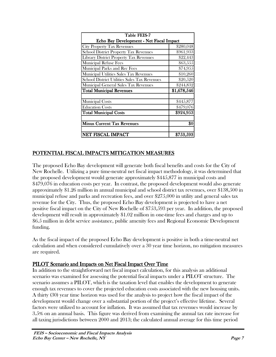| Table FEIS-7                                  |             |  |  |  |  |  |
|-----------------------------------------------|-------------|--|--|--|--|--|
| Echo Bay Development - Net Fiscal Impact      |             |  |  |  |  |  |
| <b>City Property Tax Revenues</b>             | \$280,048   |  |  |  |  |  |
| <b>School District Property Tax Revenues</b>  | \$961,933   |  |  |  |  |  |
| <b>Library District Property Tax Revenues</b> | \$22,443    |  |  |  |  |  |
| <b>Municipal Refuse Fees</b>                  | \$63,555    |  |  |  |  |  |
| Municipal Parks and Rec Fees                  | \$74,955    |  |  |  |  |  |
| Municipal Utilities Sales Tax Revenues        | \$10,260    |  |  |  |  |  |
| School District Utilities Sales Tax Revenues  | \$20,520    |  |  |  |  |  |
| Municipal General Sales Tax Revenues          | \$244,832   |  |  |  |  |  |
| <b>Total Municipal Revenues</b>               | \$1,678,546 |  |  |  |  |  |
| Municipal Costs                               | \$445,877   |  |  |  |  |  |
| <b>Education Costs</b>                        | \$479,076   |  |  |  |  |  |
| <b>Total Municipal Costs</b>                  | \$924,953   |  |  |  |  |  |
| <b>Minus Current Tax Revenues</b>             | \$0         |  |  |  |  |  |
| NET FISCAL IMPACT                             | \$753,593   |  |  |  |  |  |

## POTENTIAL FISCAL IMPACTS MITIGATION MEASURES

The proposed Echo Bay development will generate both fiscal benefits and costs for the City of New Rochelle. Utilizing a pure time-neutral net fiscal impact methodology, it was determined that the proposed development would generate approximately \$445,877 in municipal costs and \$479,076 in education costs per year. In contrast, the proposed development would also generate approximately \$1.26 million in annual municipal and school district tax revenues, over \$138,500 in municipal refuse and parks and recreation fees, and over \$275,000 in utility and general sales tax revenue for the City. Thus, the proposed Echo Bay development is projected to have a net positive fiscal impact on the City of New Rochelle of \$753,593 per year. In addition, the proposed development will result in approximately \$1.02 million in one-time fees and charges and up to \$6.5 million in debt service assistance, public amenity fees and Regional Economic Development funding.

As the fiscal impact of the proposed Echo Bay development is positive in both a time-neutral net calculation and when considered cumulatively over a 30 year time horizon, no mitigation measures are required.

## PILOT Scenario and Impacts on Net Fiscal Impact Over Time

In addition to the straightforward net fiscal impact calculation, for this analysis an additional scenario was examined for assessing the potential fiscal impacts under a PILOT structure. The scenario assumes a PILOT, which is the taxation level that enables the development to generate enough tax revenues to cover the projected education costs associated with the new housing units. A thirty (30) year time horizon was used for the analysis to project how the fiscal impact of the development would change over a substantial portion of the project's effective lifetime. Several factors were utilized to account for inflation. It was assumed that tax revenues would increase by 3.5% on an annual basis. This figure was derived from examining the annual tax rate increase for all taxing jurisdictions between 2000 and 2013; the calculated annual average for this time period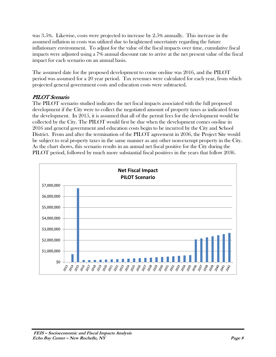was 3.5%. Likewise, costs were projected to increase by 2.5% annually. This increase in the assumed inflation in costs was utilized due to heightened uncertainty regarding the future inflationary environment. To adjust for the value of the fiscal impacts over time, cumulative fiscal impacts were adjusted using a 7% annual discount rate to arrive at the net present value of the fiscal impact for each scenario on an annual basis.

The assumed date for the proposed development to come on-line was 2016, and the PILOT period was assumed for a 20 year period. Tax revenues were calculated for each year, from which projected general government costs and education costs were subtracted.

## PILOT Scenario

The PILOT scenario studied indicates the net fiscal impacts associated with the full proposed development if the City were to collect the negotiated amount of property taxes as indicated from the development. In 2015, it is assumed that all of the permit fees for the development would be collected by the City. The PILOT would first be due when the development comes on-line in 2016 and general government and education costs begin to be incurred by the City and School District. From and after the termination of the PILOT agreement in 2036, the Project Site would be subject to real property taxes in the same manner as any other non-exempt property in the City. As the chart shows, this scenario results in an annual net fiscal positive for the City during the PILOT period, followed by much more substantial fiscal positives in the years that follow 2036.

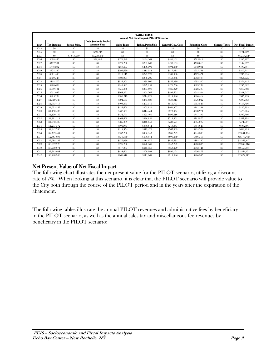|      | <b>TABLE FEIS-8</b><br>Annual Net Fiscal Impact, PILOT Scenario |              |                                  |                    |                    |                           |                        |                      |                          |  |  |
|------|-----------------------------------------------------------------|--------------|----------------------------------|--------------------|--------------------|---------------------------|------------------------|----------------------|--------------------------|--|--|
|      |                                                                 |              | <b>Debt Service &amp; Public</b> |                    |                    |                           |                        |                      |                          |  |  |
| Year | <b>Tax Revenue</b>                                              | Fees & Misc. | <b>Amenity Fees</b>              | <b>Sales Taxes</b> | Refuse/Parks/Utils | <b>General Gov. Costs</b> | <b>Education Costs</b> | <b>Current Taxes</b> | <b>Net Fiscal Impact</b> |  |  |
| 2013 | \$0                                                             | \$0          | \$0                              | \$0                | 80                 | \$0                       | \$0                    | \$0                  | \$0                      |  |  |
| 2014 | \$0                                                             | \$0          | \$721.719                        | \$0                | \$0                | \$0                       | \$0                    | \$0                  | \$721.719                |  |  |
| 2015 | \$0                                                             | \$1,018,160  | \$5,739,879                      | \$0                | \$0                | \$0                       | \$0                    | \$0                  | \$6,758,039              |  |  |
| 2016 | \$698,455                                                       | \$0          | \$38,402                         | \$270,249          | \$194.264          | \$480,161                 | \$515.912              | \$0                  | \$205,297                |  |  |
| 2017 | \$722.901                                                       | \$0          | \$0                              | \$279,708          | \$201,063          | \$492,165                 | \$528,810              | \$0                  | \$182,697                |  |  |
| 2018 | \$748.202                                                       | \$0          | \$0                              | \$289,497          | \$208,101          | \$504,469                 | \$542,031              | \$0                  | \$199.301                |  |  |
| 2019 | \$774.389                                                       | \$0          | \$0                              | \$299,630          | \$215,384          | \$517,081                 | \$555,581              | \$0                  | \$216.741                |  |  |
| 2020 | \$801.493                                                       | \$0          | \$0                              | \$310,117          | \$222.923          | \$530,008                 | \$569,471              | \$0                  | \$235,054                |  |  |
| 2021 | \$829,545                                                       | \$0          | \$0                              | \$320,971          | \$230,725          | \$543,258                 | \$583,708              | \$0                  | \$254,276                |  |  |
| 2022 | \$858,579                                                       | \$0          | \$0                              | \$332,205          | \$238,800          | \$556,839                 | \$598,300              | \$0                  | \$274.445                |  |  |
| 2023 | \$888,629                                                       | \$0          | \$0                              | \$343,832          | \$247.158          | \$570,760                 | \$613,258              | \$0                  | \$295,602                |  |  |
| 2024 | \$919,731                                                       | \$0          | \$0                              | \$355,866          | \$255,809          | \$585,029                 | \$628,589              | \$0                  | \$317,788                |  |  |
| 2025 | \$951.922                                                       | \$0          | \$0                              | \$368,322          | \$264.762          | \$599,655                 | \$644.304              | \$0                  | \$341.047                |  |  |
| 2026 | \$985,239                                                       | \$0          | \$0                              | \$381.213          | \$274,029          | \$614.646                 | \$660,412              | \$0                  | \$365,423                |  |  |
| 2027 | \$1,019,723                                                     | \$0          | \$0                              | \$394,555          | \$283,620          | \$630,013                 | \$676,922              | \$0                  | \$390,963                |  |  |
| 2028 | \$1,055,413                                                     | \$0          | \$0                              | \$408,365          | \$293,546          | \$645,763                 | \$693,845              | \$0                  | \$417.716                |  |  |
| 2029 | \$1,092,352                                                     | \$0          | \$0                              | \$422,658          | \$303,821          | \$661,907                 | \$711.191              | \$0                  | \$445,733                |  |  |
| 2030 | \$1,130,585                                                     | \$0          | \$0                              | \$437,451          | \$314,454          | \$678,455                 | \$728,971              | \$0                  | \$475,064                |  |  |
| 2031 | \$1,170,155                                                     | \$0          | \$0                              | \$452,761          | \$325,460          | \$695,416                 | \$747,195              | \$0                  | \$505,766                |  |  |
| 2032 | \$1.211.111                                                     | \$0          | \$0                              | \$468,608          | \$336,851          | \$712,801                 | \$765,875              | \$0                  | \$537,894                |  |  |
| 2033 | \$1,253,499                                                     | \$0          | \$0                              | \$485,009          | \$348,641          | \$730,621                 | \$785,022              | \$0                  | \$571.507                |  |  |
| 2034 | \$1,297,372                                                     | \$0          | \$0                              | \$501,985          | \$360,844          | \$748,887                 | \$804,647              | \$0                  | \$606,666                |  |  |
| 2035 | \$1,342,780                                                     | \$0          | \$0                              | \$519,554          | \$373,473          | \$767,609                 | \$824.764              | \$0                  | \$643,435                |  |  |
| 2036 | \$2,789,464                                                     | $\$0$        | \$0                              | \$537,738          | \$386,545          | \$786,799                 | \$845,383              | \$0                  | \$2,081,565              |  |  |
| 2037 | \$2,887,095                                                     | \$0          | \$0                              | \$556,559          | \$400,074          | \$806,469                 | \$866,517              | \$0                  | \$2,170,742              |  |  |
| 2038 | \$2,988.143                                                     | \$0          | \$0                              | \$576,039          | \$414,076          | \$826,631                 | \$888.180              | \$0                  | \$2,263,447              |  |  |
| 2039 | \$3,092,728                                                     | \$0          | \$0                              | \$596,200          | \$428,569          | \$847.297                 | \$910,385              | \$0                  | \$2,359,816              |  |  |
| 2040 | \$3,200,974                                                     | \$0          | \$0                              | \$617,067          | \$443,569          | \$868,479                 | \$933,144              | \$0                  | \$2,459,987              |  |  |
| 2041 | \$3,313,008                                                     | \$0          | \$0                              | \$638,665          | \$459,094          | \$890,191                 | \$956,473              | \$0                  | \$2,564,102              |  |  |
| 2042 | \$3,428,963                                                     | \$0          | \$0                              | \$661,018          | \$475,162          | \$912.446                 | \$980,385              | \$0                  | \$2,672,312              |  |  |

## Net Present Value of Net Fiscal Impact

The following chart illustrates the net present value for the PILOT scenario, utilizing a discount rate of 7%. When looking at this scenario, it is clear that the PILOT scenario will provide value to the City both through the course of the PILOT period and in the years after the expiration of the abatement.

The following tables illustrate the annual PILOT revenues and administrative fees by beneficiary in the PILOT scenario, as well as the annual sales tax and miscellaneous fee revenues by beneficiary in the PILOT scenario: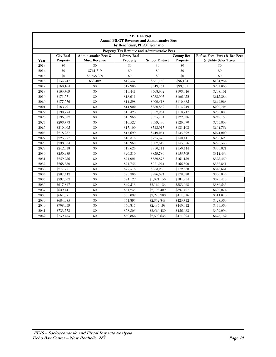|      | <b>TABLE FEIS-9</b><br><b>Annual PILOT Revenues and Administrative Fees</b> |                                                   |                                 |                        |                                |                                                        |  |  |  |  |
|------|-----------------------------------------------------------------------------|---------------------------------------------------|---------------------------------|------------------------|--------------------------------|--------------------------------------------------------|--|--|--|--|
|      | by Beneficiary, PILOT Scenario                                              |                                                   |                                 |                        |                                |                                                        |  |  |  |  |
|      | Property Tax Revenue and Administrative Fees                                |                                                   |                                 |                        |                                |                                                        |  |  |  |  |
| Year | <b>City Real</b><br><b>Property</b>                                         | <b>Administrative Fees &amp;</b><br>Misc. Revenue | <b>Library Real</b><br>Property | <b>School District</b> | <b>County Real</b><br>Property | Refuse Fees. Parks & Rec Fees<br>& Utility Sales Taxes |  |  |  |  |
| 2013 | \$0                                                                         | \$0                                               | \$0                             | \$0                    | \$0                            | \$0                                                    |  |  |  |  |
| 2014 | \$0                                                                         | \$721,719                                         | \$0                             | \$0                    | \$0                            | \$0                                                    |  |  |  |  |
| 2015 | \$0                                                                         | \$6,758,039                                       | \$0                             | $\$0$                  | \$0                            | \$0                                                    |  |  |  |  |
| 2016 | \$154,747                                                                   | \$38,402                                          | \$12,547                        | \$531,160              | \$96.194                       | \$194,264                                              |  |  |  |  |
| 2017 | \$160,164                                                                   | \$0                                               | \$12,986                        | \$549,751              | \$99,561                       | \$201,063                                              |  |  |  |  |
| 2018 | \$165,769                                                                   | \$0                                               | \$13,441                        | \$568,992              | \$103,046                      | \$208,101                                              |  |  |  |  |
| 2019 | \$171,571                                                                   | \$0                                               | \$13,911                        | \$588,907              | \$106.652                      | \$215,384                                              |  |  |  |  |
| 2020 | \$177,576                                                                   | \$0                                               | \$14,398                        | \$609,518              | \$110,385                      | \$222,923                                              |  |  |  |  |
| 2021 | \$183,791                                                                   | \$0                                               | \$14,902                        | \$630,852              | \$114,249                      | \$230,725                                              |  |  |  |  |
| 2022 | \$190,224                                                                   | \$0                                               | \$15,424                        | \$652,931              | \$118,247                      | \$238,800                                              |  |  |  |  |
| 2023 | \$196,882                                                                   | \$0                                               | \$15,963                        | \$675,784              | \$122,386                      | \$247,158                                              |  |  |  |  |
| 2024 | \$203,773                                                                   | \$0                                               | \$16,522                        | \$699,436              | \$126,670                      | \$255,809                                              |  |  |  |  |
| 2025 | \$210,905                                                                   | \$0                                               | \$17,100                        | \$723,917              | \$131,103                      | \$264,762                                              |  |  |  |  |
| 2026 | \$218,287                                                                   | \$0                                               | \$17,699                        | \$749,254              | \$135,692                      | \$274,029                                              |  |  |  |  |
| 2027 | \$225,927                                                                   | \$0                                               | \$18,318                        | \$775,478              | \$140,441                      | \$283,620                                              |  |  |  |  |
| 2028 | \$233,834                                                                   | \$0                                               | \$18,960                        | \$802,619              | \$145,356                      | \$293,546                                              |  |  |  |  |
| 2029 | \$242,018                                                                   | \$0                                               | \$19,623                        | \$830,711              | \$150,444                      | \$303,821                                              |  |  |  |  |
| 2030 | \$250,489                                                                   | \$0                                               | \$20,310                        | \$859,786              | \$155,709                      | \$314,454                                              |  |  |  |  |
| 2031 | \$259,256                                                                   | \$0                                               | \$21,021                        | \$889,878              | \$161.159                      | \$325,460                                              |  |  |  |  |
| 2032 | \$268,330                                                                   | \$0                                               | \$21.756                        | \$921.024              | \$166,800                      | \$336,851                                              |  |  |  |  |
| 2033 | \$277,721                                                                   | \$0                                               | \$22,518                        | \$953,260              | \$172,638                      | \$348,641                                              |  |  |  |  |
| 2034 | \$287,442                                                                   | \$0                                               | \$23,306                        | \$986,624              | \$178,680                      | \$360,844                                              |  |  |  |  |
| 2035 | \$297,502                                                                   | \$0                                               | \$24,122                        | \$1,021,156            | \$184,934                      | \$373,473                                              |  |  |  |  |
| 2036 | \$617,817                                                                   | \$0                                               | \$49,513                        | \$2,122,134            | \$383,968                      | \$386,545                                              |  |  |  |  |
| 2037 | \$639,441                                                                   | \$0                                               | \$51,245                        | \$2,196,409            | \$397,407                      | \$400,074                                              |  |  |  |  |
| 2038 | \$661,821                                                                   | \$0                                               | \$53,039                        | \$2,273,283            | \$411,316                      | \$414,076                                              |  |  |  |  |
| 2039 | \$684,985                                                                   | \$0                                               | \$54.895                        | \$2,352,848            | \$425.712                      | \$428,569                                              |  |  |  |  |
| 2040 | \$708,959                                                                   | \$0                                               | \$56,817                        | \$2,435,198            | \$440,612                      | \$443,569                                              |  |  |  |  |
| 2041 | \$733,773                                                                   | \$0                                               | \$58,805                        | \$2,520,430            | \$456,033                      | \$459,094                                              |  |  |  |  |
| 2042 | \$759,455                                                                   | \$0                                               | \$60,864                        | \$2,608,645            | \$471,994                      | \$475,162                                              |  |  |  |  |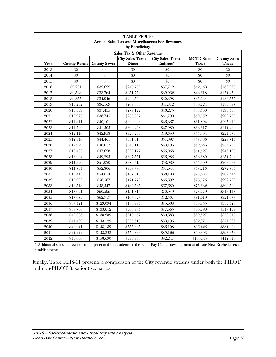| by Beneficiary<br>Sales Tax & Other Revenue |                      |                     |                                          |                                        |                                   |                                     |  |  |
|---------------------------------------------|----------------------|---------------------|------------------------------------------|----------------------------------------|-----------------------------------|-------------------------------------|--|--|
| Year                                        | <b>County Refuse</b> | <b>County Sewer</b> | <b>City Sales Taxes</b><br><b>Direct</b> | <b>City Sales Taxes -</b><br>Indirect* | <b>MCTD</b> Sales<br><b>Taxes</b> | <b>County Sales</b><br><b>Taxes</b> |  |  |
| 2013                                        | \$0                  | \$0                 | \$0                                      | \$0                                    | \$0                               | \$0                                 |  |  |
| 2014                                        | \$0                  | \$0                 | \$0                                      | \$0                                    | \$0                               | \$0                                 |  |  |
| 2015                                        | \$0                  | \$0                 | \$0                                      | \$0                                    | \$0                               | \$0                                 |  |  |
| 2016                                        | \$9,201              | \$32,622            | \$243,239                                | \$37,712                               | \$42,143                          | \$168,570                           |  |  |
| 2017                                        | \$9,523              | \$33,764            | \$251,752                                | \$39,032                               | \$43,618                          | \$174,470                           |  |  |
| 2018                                        | \$9,857              | \$34,946            | \$260,564                                | \$40,398                               | \$45,144                          | \$180,577                           |  |  |
| 2019                                        | \$10,202             | \$36,169            | \$269,683                                | \$41,812                               | \$46,724                          | \$186,897                           |  |  |
| 2020                                        | \$10,559             | \$37,435            | \$279,122                                | \$43,275                               | \$48,360                          | \$193,438                           |  |  |
| 2021                                        | \$10,928             | \$38,745            | \$288,892                                | \$44,790                               | \$50,052                          | \$200,209                           |  |  |
| 2022                                        | \$11,311             | \$40,101            | \$299,003                                | \$46,357                               | \$51,804                          | \$207,216                           |  |  |
| 2023                                        | \$11,706             | \$41,505            | \$309,468                                | \$47,980                               | \$53,617                          | \$214,469                           |  |  |
| 2024                                        | \$12,116             | \$42,958            | \$320,299                                | \$49,659                               | \$55,494                          | \$221,975                           |  |  |
| 2025                                        | \$12,540             | \$44,461            | \$331,510                                | \$51,397                               | \$57,436                          | \$229,744                           |  |  |
| 2026                                        | \$12,979             | \$46,017            | \$343,113                                | \$53,196                               | \$59,446                          | \$237,785                           |  |  |
| 2027                                        | \$13,433             | \$47,628            | \$355,122                                | \$55,058                               | \$61,527                          | \$246,108                           |  |  |
| 2028                                        | \$13,904             | \$49,295            | \$367,551                                | \$56,985                               | \$63,680                          | \$254,722                           |  |  |
| 2029                                        | \$14,390             | \$51,020            | \$380,415                                | \$58,980                               | \$65,909                          | \$263,637                           |  |  |
| 2030                                        | \$14,894             | \$52,806            | \$393,730                                | \$61,044                               | \$68,216                          | \$272,864                           |  |  |
| 2031                                        | \$15,415             | \$54,654            | \$407,510                                | \$63,180                               | \$70,604                          | \$282,414                           |  |  |
| 2032                                        | \$15,955             | \$56,567            | \$421,773                                | \$65,392                               | \$73,075                          | \$292,299                           |  |  |
| 2033                                        | \$16,513             | \$58,547            | \$436,535                                | \$67,680                               | \$75,632                          | \$302,529                           |  |  |
| 2034                                        | \$17,091             | \$60,596            | \$451,814                                | \$70,049                               | \$78,279                          | \$313,118                           |  |  |
| 2035                                        | \$17,689             | \$62,717            | \$467,627                                | \$72,501                               | \$81,019                          | \$324,077                           |  |  |
| 2036                                        | \$37,421             | \$129,094           | \$483,994                                | \$75,038                               | \$83,855                          | \$335,420                           |  |  |
| 2037                                        | \$38,730             | \$133,612           | \$500,934                                | \$77,665                               | \$86,790                          | \$347,159                           |  |  |
| 2038                                        | \$40,086             | \$138,289           | \$518,467                                | \$80,383                               | \$89,827                          | \$359,310                           |  |  |
| 2039                                        | \$41,489             | \$143,129           | \$536,613                                | \$83,196                               | \$92,971                          | \$371,886                           |  |  |
| 2040                                        | \$42,941             | \$148,139           | \$555,395                                | \$86,108                               | \$96,225                          | \$384,902                           |  |  |
| 2041                                        | \$44,444             | \$153,323           | \$574,833                                | \$89,122                               | \$99,593                          | \$398,373                           |  |  |
| 2042                                        | \$46,000             | \$158,690           | \$594,953                                | \$92,241                               | \$103,079                         | \$412,316                           |  |  |

| <b>TABLE FEIS-10</b>                              |
|---------------------------------------------------|
| Annual Sales Tax and Miscellaneous Fee Revenue    |
| $\mathbf{L} = \mathbf{D}$ and $\mathbf{C}$ alone. |

\* Additional sales tax revenue to be generated by residents of the Echo Bay Center development at off-site New Rochelle retail establishments.

Finally, Table FEIS-11 presents a comparison of the City revenue streams under both the PILOT and non-PILOT (taxation) scenarios.